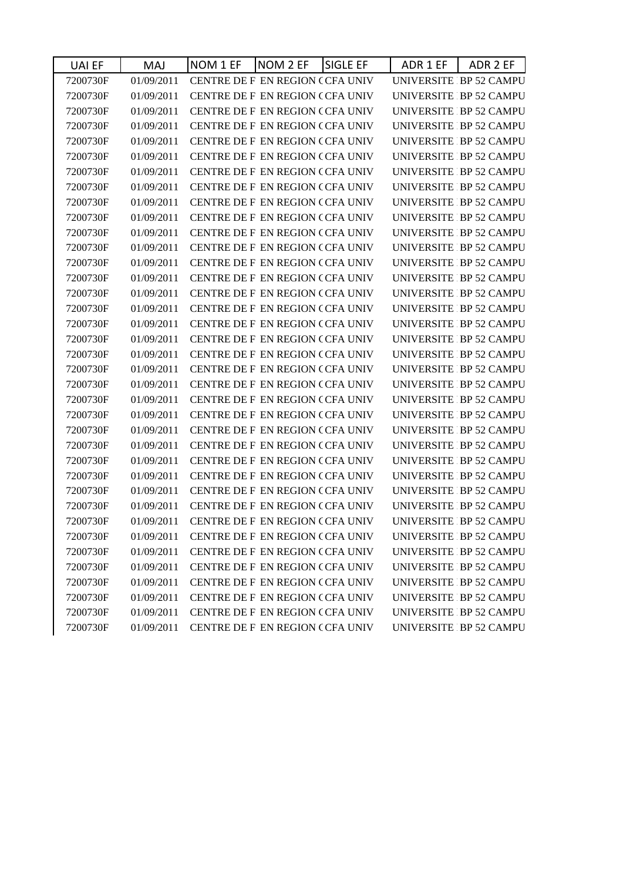| 01/09/2011<br>CENTRE DE F EN REGION (CFA UNIV<br>UNIVERSITE IBP 52 CAMPU<br>7200730F<br>UNIVERSITE IBP 52 CAMPU<br>7200730F<br>01/09/2011<br>CENTRE DE F EN REGION (CFA UNIV<br>01/09/2011<br>7200730F<br>CENTRE DE F EN REGION (CFA UNIV<br>01/09/2011<br>UNIVERSITE IBP 52 CAMPU<br>7200730F<br>CENTRE DE F EN REGION (CFA UNIV<br>01/09/2011<br>CENTRE DE F EN REGION (CFA UNIV<br>UNIVERSITE IBP 52 CAMPU<br>7200730F<br>01/09/2011<br>CENTRE DE F EN REGION (CFA UNIV<br>UNIVERSITE IBP 52 CAMPU<br>7200730F<br>01/09/2011<br>CENTRE DE F EN REGION (CFA UNIV<br>UNIVERSITE IBP 52 CAMPU<br>7200730F<br>01/09/2011<br>CENTRE DE F EN REGION (CFA UNIV<br>UNIVERSITE IBP 52 CAMPU<br>7200730F<br>UNIVERSITE IBP 52 CAMPU<br>7200730F<br>01/09/2011<br>CENTRE DE F EN REGION (CFA UNIV<br>UNIVERSITE IBP 52 CAMPU<br>01/09/2011<br>CENTRE DE F EN REGION (CFA UNIV<br>7200730F<br>UNIVERSITE IBP 52 CAMPU<br>01/09/2011<br>CENTRE DE F EN REGION (CFA UNIV<br>7200730F<br>01/09/2011<br><b>CENTRE DE F EN REGION (CFA UNIV</b><br>UNIVERSITE IBP 52 CAMPU<br>7200730F<br>01/09/2011<br>CENTRE DE F EN REGION (CFA UNIV<br>UNIVERSITE IBP 52 CAMPU<br>7200730F<br>01/09/2011<br>7200730F<br>CENTRE DE F EN REGION (CFA UNIV<br>UNIVERSITE IBP 52 CAMPU<br>01/09/2011<br>CENTRE DE F EN REGION (CFA UNIV<br>UNIVERSITE IBP 52 CAMPU<br>7200730F<br>01/09/2011<br>CENTRE DE F EN REGION (CFA UNIV<br>UNIVERSITE IBP 52 CAMPU<br>7200730F<br>CENTRE DE F EN REGION (CFA UNIV<br>7200730F<br>01/09/2011<br>UNIVERSITE IBP 52 CAMPU<br>01/09/2011<br>CENTRE DE F EN REGION (CFA UNIV<br>UNIVERSITE IBP 52 CAMPU<br>7200730F<br>01/09/2011<br>CENTRE DE F EN REGION (CFA UNIV<br>UNIVERSITE IBP 52 CAMPU<br>7200730F<br>01/09/2011<br>CENTRE DE F EN REGION (CFA UNIV<br>UNIVERSITE IBP 52 CAMPU<br>7200730F<br>UNIVERSITE IBP 52 CAMPU<br>7200730F<br>01/09/2011<br><b>CENTRE DE F EN REGION (CFA UNIV</b><br>01/09/2011<br>UNIVERSITE IBP 52 CAMPU<br>7200730F<br>CENTRE DE F EN REGION (CFA UNIV<br>01/09/2011<br>CENTRE DE F EN REGION (CFA UNIV<br>UNIVERSITE IBP 52 CAMPU<br>7200730F<br>01/09/2011<br>CENTRE DE F EN REGION (CFA UNIV<br>UNIVERSITE IBP 52 CAMPU<br>7200730F<br>7200730F<br>01/09/2011<br>CENTRE DE F EN REGION (CFA UNIV<br>UNIVERSITE IBP 52 CAMPU<br>01/09/2011<br>CENTRE DE F EN REGION (CFA UNIV<br>UNIVERSITE IBP 52 CAMPU<br>7200730F<br>7200730F<br>01/09/2011<br>CENTRE DE F EN REGION (CFA UNIV<br>UNIVERSITE IBP 52 CAMPU<br>01/09/2011<br>CENTRE DE F EN REGION CCFA UNIV<br>UNIVERSITE IBP 52 CAMPU<br>7200730F<br>CENTRE DE F EN REGION (CFA UNIV<br>UNIVERSITE IBP 52 CAMPU<br>7200730F<br>01/09/2011<br>01/09/2011<br>CENTRE DE F EN REGION (CFA UNIV<br>UNIVERSITE IBP 52 CAMPU<br>7200730F<br>01/09/2011<br>CENTRE DE F EN REGION (CFA UNIV<br>UNIVERSITE IBP 52 CAMPU<br>7200730F<br>7200730F<br>01/09/2011<br>CENTRE DE F EN REGION (CFA UNIV<br>UNIVERSITE IBP 52 CAMPU<br>01/09/2011<br>CENTRE DE F EN REGION (CFA UNIV<br>UNIVERSITE IBP 52 CAMPU<br>7200730F<br>UNIVERSITE IBP 52 CAMPU<br>7200730F<br>01/09/2011<br><b>CENTRE DE F EN REGION (CFA UNIV</b><br>01/09/2011<br>CENTRE DE F EN REGION (CFA UNIV<br>UNIVERSITE IBP 52 CAMPU<br>7200730F<br>CENTRE DE F EN REGION (CFA UNIV<br>UNIVERSITE IBP 52 CAMPU<br>7200730F<br>01/09/2011<br>7200730F<br>01/09/2011<br>CENTRE DE F EN REGION (CFA UNIV<br>UNIVERSITE IBP 52 CAMPU | UAI EF | <b>MAJ</b> | <b>SIGLE EF</b><br>NOM 1 EF<br>NOM 2 EF | ADR 1 EF<br>ADR 2 EF    |
|--------------------------------------------------------------------------------------------------------------------------------------------------------------------------------------------------------------------------------------------------------------------------------------------------------------------------------------------------------------------------------------------------------------------------------------------------------------------------------------------------------------------------------------------------------------------------------------------------------------------------------------------------------------------------------------------------------------------------------------------------------------------------------------------------------------------------------------------------------------------------------------------------------------------------------------------------------------------------------------------------------------------------------------------------------------------------------------------------------------------------------------------------------------------------------------------------------------------------------------------------------------------------------------------------------------------------------------------------------------------------------------------------------------------------------------------------------------------------------------------------------------------------------------------------------------------------------------------------------------------------------------------------------------------------------------------------------------------------------------------------------------------------------------------------------------------------------------------------------------------------------------------------------------------------------------------------------------------------------------------------------------------------------------------------------------------------------------------------------------------------------------------------------------------------------------------------------------------------------------------------------------------------------------------------------------------------------------------------------------------------------------------------------------------------------------------------------------------------------------------------------------------------------------------------------------------------------------------------------------------------------------------------------------------------------------------------------------------------------------------------------------------------------------------------------------------------------------------------------------------------------------------------------------------------------------------------------------------------------------------------------------------------------------------------------------------------------------------------------------------------------------------------------------------------------------------------------------------------------------------------------------------------------------------------------------------------------------------------------------------------------|--------|------------|-----------------------------------------|-------------------------|
|                                                                                                                                                                                                                                                                                                                                                                                                                                                                                                                                                                                                                                                                                                                                                                                                                                                                                                                                                                                                                                                                                                                                                                                                                                                                                                                                                                                                                                                                                                                                                                                                                                                                                                                                                                                                                                                                                                                                                                                                                                                                                                                                                                                                                                                                                                                                                                                                                                                                                                                                                                                                                                                                                                                                                                                                                                                                                                                                                                                                                                                                                                                                                                                                                                                                                                                                                                                |        |            |                                         |                         |
|                                                                                                                                                                                                                                                                                                                                                                                                                                                                                                                                                                                                                                                                                                                                                                                                                                                                                                                                                                                                                                                                                                                                                                                                                                                                                                                                                                                                                                                                                                                                                                                                                                                                                                                                                                                                                                                                                                                                                                                                                                                                                                                                                                                                                                                                                                                                                                                                                                                                                                                                                                                                                                                                                                                                                                                                                                                                                                                                                                                                                                                                                                                                                                                                                                                                                                                                                                                |        |            |                                         |                         |
|                                                                                                                                                                                                                                                                                                                                                                                                                                                                                                                                                                                                                                                                                                                                                                                                                                                                                                                                                                                                                                                                                                                                                                                                                                                                                                                                                                                                                                                                                                                                                                                                                                                                                                                                                                                                                                                                                                                                                                                                                                                                                                                                                                                                                                                                                                                                                                                                                                                                                                                                                                                                                                                                                                                                                                                                                                                                                                                                                                                                                                                                                                                                                                                                                                                                                                                                                                                |        |            |                                         | UNIVERSITE IBP 52 CAMPU |
|                                                                                                                                                                                                                                                                                                                                                                                                                                                                                                                                                                                                                                                                                                                                                                                                                                                                                                                                                                                                                                                                                                                                                                                                                                                                                                                                                                                                                                                                                                                                                                                                                                                                                                                                                                                                                                                                                                                                                                                                                                                                                                                                                                                                                                                                                                                                                                                                                                                                                                                                                                                                                                                                                                                                                                                                                                                                                                                                                                                                                                                                                                                                                                                                                                                                                                                                                                                |        |            |                                         |                         |
|                                                                                                                                                                                                                                                                                                                                                                                                                                                                                                                                                                                                                                                                                                                                                                                                                                                                                                                                                                                                                                                                                                                                                                                                                                                                                                                                                                                                                                                                                                                                                                                                                                                                                                                                                                                                                                                                                                                                                                                                                                                                                                                                                                                                                                                                                                                                                                                                                                                                                                                                                                                                                                                                                                                                                                                                                                                                                                                                                                                                                                                                                                                                                                                                                                                                                                                                                                                |        |            |                                         |                         |
|                                                                                                                                                                                                                                                                                                                                                                                                                                                                                                                                                                                                                                                                                                                                                                                                                                                                                                                                                                                                                                                                                                                                                                                                                                                                                                                                                                                                                                                                                                                                                                                                                                                                                                                                                                                                                                                                                                                                                                                                                                                                                                                                                                                                                                                                                                                                                                                                                                                                                                                                                                                                                                                                                                                                                                                                                                                                                                                                                                                                                                                                                                                                                                                                                                                                                                                                                                                |        |            |                                         |                         |
|                                                                                                                                                                                                                                                                                                                                                                                                                                                                                                                                                                                                                                                                                                                                                                                                                                                                                                                                                                                                                                                                                                                                                                                                                                                                                                                                                                                                                                                                                                                                                                                                                                                                                                                                                                                                                                                                                                                                                                                                                                                                                                                                                                                                                                                                                                                                                                                                                                                                                                                                                                                                                                                                                                                                                                                                                                                                                                                                                                                                                                                                                                                                                                                                                                                                                                                                                                                |        |            |                                         |                         |
|                                                                                                                                                                                                                                                                                                                                                                                                                                                                                                                                                                                                                                                                                                                                                                                                                                                                                                                                                                                                                                                                                                                                                                                                                                                                                                                                                                                                                                                                                                                                                                                                                                                                                                                                                                                                                                                                                                                                                                                                                                                                                                                                                                                                                                                                                                                                                                                                                                                                                                                                                                                                                                                                                                                                                                                                                                                                                                                                                                                                                                                                                                                                                                                                                                                                                                                                                                                |        |            |                                         |                         |
|                                                                                                                                                                                                                                                                                                                                                                                                                                                                                                                                                                                                                                                                                                                                                                                                                                                                                                                                                                                                                                                                                                                                                                                                                                                                                                                                                                                                                                                                                                                                                                                                                                                                                                                                                                                                                                                                                                                                                                                                                                                                                                                                                                                                                                                                                                                                                                                                                                                                                                                                                                                                                                                                                                                                                                                                                                                                                                                                                                                                                                                                                                                                                                                                                                                                                                                                                                                |        |            |                                         |                         |
|                                                                                                                                                                                                                                                                                                                                                                                                                                                                                                                                                                                                                                                                                                                                                                                                                                                                                                                                                                                                                                                                                                                                                                                                                                                                                                                                                                                                                                                                                                                                                                                                                                                                                                                                                                                                                                                                                                                                                                                                                                                                                                                                                                                                                                                                                                                                                                                                                                                                                                                                                                                                                                                                                                                                                                                                                                                                                                                                                                                                                                                                                                                                                                                                                                                                                                                                                                                |        |            |                                         |                         |
|                                                                                                                                                                                                                                                                                                                                                                                                                                                                                                                                                                                                                                                                                                                                                                                                                                                                                                                                                                                                                                                                                                                                                                                                                                                                                                                                                                                                                                                                                                                                                                                                                                                                                                                                                                                                                                                                                                                                                                                                                                                                                                                                                                                                                                                                                                                                                                                                                                                                                                                                                                                                                                                                                                                                                                                                                                                                                                                                                                                                                                                                                                                                                                                                                                                                                                                                                                                |        |            |                                         |                         |
|                                                                                                                                                                                                                                                                                                                                                                                                                                                                                                                                                                                                                                                                                                                                                                                                                                                                                                                                                                                                                                                                                                                                                                                                                                                                                                                                                                                                                                                                                                                                                                                                                                                                                                                                                                                                                                                                                                                                                                                                                                                                                                                                                                                                                                                                                                                                                                                                                                                                                                                                                                                                                                                                                                                                                                                                                                                                                                                                                                                                                                                                                                                                                                                                                                                                                                                                                                                |        |            |                                         |                         |
|                                                                                                                                                                                                                                                                                                                                                                                                                                                                                                                                                                                                                                                                                                                                                                                                                                                                                                                                                                                                                                                                                                                                                                                                                                                                                                                                                                                                                                                                                                                                                                                                                                                                                                                                                                                                                                                                                                                                                                                                                                                                                                                                                                                                                                                                                                                                                                                                                                                                                                                                                                                                                                                                                                                                                                                                                                                                                                                                                                                                                                                                                                                                                                                                                                                                                                                                                                                |        |            |                                         |                         |
|                                                                                                                                                                                                                                                                                                                                                                                                                                                                                                                                                                                                                                                                                                                                                                                                                                                                                                                                                                                                                                                                                                                                                                                                                                                                                                                                                                                                                                                                                                                                                                                                                                                                                                                                                                                                                                                                                                                                                                                                                                                                                                                                                                                                                                                                                                                                                                                                                                                                                                                                                                                                                                                                                                                                                                                                                                                                                                                                                                                                                                                                                                                                                                                                                                                                                                                                                                                |        |            |                                         |                         |
|                                                                                                                                                                                                                                                                                                                                                                                                                                                                                                                                                                                                                                                                                                                                                                                                                                                                                                                                                                                                                                                                                                                                                                                                                                                                                                                                                                                                                                                                                                                                                                                                                                                                                                                                                                                                                                                                                                                                                                                                                                                                                                                                                                                                                                                                                                                                                                                                                                                                                                                                                                                                                                                                                                                                                                                                                                                                                                                                                                                                                                                                                                                                                                                                                                                                                                                                                                                |        |            |                                         |                         |
|                                                                                                                                                                                                                                                                                                                                                                                                                                                                                                                                                                                                                                                                                                                                                                                                                                                                                                                                                                                                                                                                                                                                                                                                                                                                                                                                                                                                                                                                                                                                                                                                                                                                                                                                                                                                                                                                                                                                                                                                                                                                                                                                                                                                                                                                                                                                                                                                                                                                                                                                                                                                                                                                                                                                                                                                                                                                                                                                                                                                                                                                                                                                                                                                                                                                                                                                                                                |        |            |                                         |                         |
|                                                                                                                                                                                                                                                                                                                                                                                                                                                                                                                                                                                                                                                                                                                                                                                                                                                                                                                                                                                                                                                                                                                                                                                                                                                                                                                                                                                                                                                                                                                                                                                                                                                                                                                                                                                                                                                                                                                                                                                                                                                                                                                                                                                                                                                                                                                                                                                                                                                                                                                                                                                                                                                                                                                                                                                                                                                                                                                                                                                                                                                                                                                                                                                                                                                                                                                                                                                |        |            |                                         |                         |
|                                                                                                                                                                                                                                                                                                                                                                                                                                                                                                                                                                                                                                                                                                                                                                                                                                                                                                                                                                                                                                                                                                                                                                                                                                                                                                                                                                                                                                                                                                                                                                                                                                                                                                                                                                                                                                                                                                                                                                                                                                                                                                                                                                                                                                                                                                                                                                                                                                                                                                                                                                                                                                                                                                                                                                                                                                                                                                                                                                                                                                                                                                                                                                                                                                                                                                                                                                                |        |            |                                         |                         |
|                                                                                                                                                                                                                                                                                                                                                                                                                                                                                                                                                                                                                                                                                                                                                                                                                                                                                                                                                                                                                                                                                                                                                                                                                                                                                                                                                                                                                                                                                                                                                                                                                                                                                                                                                                                                                                                                                                                                                                                                                                                                                                                                                                                                                                                                                                                                                                                                                                                                                                                                                                                                                                                                                                                                                                                                                                                                                                                                                                                                                                                                                                                                                                                                                                                                                                                                                                                |        |            |                                         |                         |
|                                                                                                                                                                                                                                                                                                                                                                                                                                                                                                                                                                                                                                                                                                                                                                                                                                                                                                                                                                                                                                                                                                                                                                                                                                                                                                                                                                                                                                                                                                                                                                                                                                                                                                                                                                                                                                                                                                                                                                                                                                                                                                                                                                                                                                                                                                                                                                                                                                                                                                                                                                                                                                                                                                                                                                                                                                                                                                                                                                                                                                                                                                                                                                                                                                                                                                                                                                                |        |            |                                         |                         |
|                                                                                                                                                                                                                                                                                                                                                                                                                                                                                                                                                                                                                                                                                                                                                                                                                                                                                                                                                                                                                                                                                                                                                                                                                                                                                                                                                                                                                                                                                                                                                                                                                                                                                                                                                                                                                                                                                                                                                                                                                                                                                                                                                                                                                                                                                                                                                                                                                                                                                                                                                                                                                                                                                                                                                                                                                                                                                                                                                                                                                                                                                                                                                                                                                                                                                                                                                                                |        |            |                                         |                         |
|                                                                                                                                                                                                                                                                                                                                                                                                                                                                                                                                                                                                                                                                                                                                                                                                                                                                                                                                                                                                                                                                                                                                                                                                                                                                                                                                                                                                                                                                                                                                                                                                                                                                                                                                                                                                                                                                                                                                                                                                                                                                                                                                                                                                                                                                                                                                                                                                                                                                                                                                                                                                                                                                                                                                                                                                                                                                                                                                                                                                                                                                                                                                                                                                                                                                                                                                                                                |        |            |                                         |                         |
|                                                                                                                                                                                                                                                                                                                                                                                                                                                                                                                                                                                                                                                                                                                                                                                                                                                                                                                                                                                                                                                                                                                                                                                                                                                                                                                                                                                                                                                                                                                                                                                                                                                                                                                                                                                                                                                                                                                                                                                                                                                                                                                                                                                                                                                                                                                                                                                                                                                                                                                                                                                                                                                                                                                                                                                                                                                                                                                                                                                                                                                                                                                                                                                                                                                                                                                                                                                |        |            |                                         |                         |
|                                                                                                                                                                                                                                                                                                                                                                                                                                                                                                                                                                                                                                                                                                                                                                                                                                                                                                                                                                                                                                                                                                                                                                                                                                                                                                                                                                                                                                                                                                                                                                                                                                                                                                                                                                                                                                                                                                                                                                                                                                                                                                                                                                                                                                                                                                                                                                                                                                                                                                                                                                                                                                                                                                                                                                                                                                                                                                                                                                                                                                                                                                                                                                                                                                                                                                                                                                                |        |            |                                         |                         |
|                                                                                                                                                                                                                                                                                                                                                                                                                                                                                                                                                                                                                                                                                                                                                                                                                                                                                                                                                                                                                                                                                                                                                                                                                                                                                                                                                                                                                                                                                                                                                                                                                                                                                                                                                                                                                                                                                                                                                                                                                                                                                                                                                                                                                                                                                                                                                                                                                                                                                                                                                                                                                                                                                                                                                                                                                                                                                                                                                                                                                                                                                                                                                                                                                                                                                                                                                                                |        |            |                                         |                         |
|                                                                                                                                                                                                                                                                                                                                                                                                                                                                                                                                                                                                                                                                                                                                                                                                                                                                                                                                                                                                                                                                                                                                                                                                                                                                                                                                                                                                                                                                                                                                                                                                                                                                                                                                                                                                                                                                                                                                                                                                                                                                                                                                                                                                                                                                                                                                                                                                                                                                                                                                                                                                                                                                                                                                                                                                                                                                                                                                                                                                                                                                                                                                                                                                                                                                                                                                                                                |        |            |                                         |                         |
|                                                                                                                                                                                                                                                                                                                                                                                                                                                                                                                                                                                                                                                                                                                                                                                                                                                                                                                                                                                                                                                                                                                                                                                                                                                                                                                                                                                                                                                                                                                                                                                                                                                                                                                                                                                                                                                                                                                                                                                                                                                                                                                                                                                                                                                                                                                                                                                                                                                                                                                                                                                                                                                                                                                                                                                                                                                                                                                                                                                                                                                                                                                                                                                                                                                                                                                                                                                |        |            |                                         |                         |
|                                                                                                                                                                                                                                                                                                                                                                                                                                                                                                                                                                                                                                                                                                                                                                                                                                                                                                                                                                                                                                                                                                                                                                                                                                                                                                                                                                                                                                                                                                                                                                                                                                                                                                                                                                                                                                                                                                                                                                                                                                                                                                                                                                                                                                                                                                                                                                                                                                                                                                                                                                                                                                                                                                                                                                                                                                                                                                                                                                                                                                                                                                                                                                                                                                                                                                                                                                                |        |            |                                         |                         |
|                                                                                                                                                                                                                                                                                                                                                                                                                                                                                                                                                                                                                                                                                                                                                                                                                                                                                                                                                                                                                                                                                                                                                                                                                                                                                                                                                                                                                                                                                                                                                                                                                                                                                                                                                                                                                                                                                                                                                                                                                                                                                                                                                                                                                                                                                                                                                                                                                                                                                                                                                                                                                                                                                                                                                                                                                                                                                                                                                                                                                                                                                                                                                                                                                                                                                                                                                                                |        |            |                                         |                         |
|                                                                                                                                                                                                                                                                                                                                                                                                                                                                                                                                                                                                                                                                                                                                                                                                                                                                                                                                                                                                                                                                                                                                                                                                                                                                                                                                                                                                                                                                                                                                                                                                                                                                                                                                                                                                                                                                                                                                                                                                                                                                                                                                                                                                                                                                                                                                                                                                                                                                                                                                                                                                                                                                                                                                                                                                                                                                                                                                                                                                                                                                                                                                                                                                                                                                                                                                                                                |        |            |                                         |                         |
|                                                                                                                                                                                                                                                                                                                                                                                                                                                                                                                                                                                                                                                                                                                                                                                                                                                                                                                                                                                                                                                                                                                                                                                                                                                                                                                                                                                                                                                                                                                                                                                                                                                                                                                                                                                                                                                                                                                                                                                                                                                                                                                                                                                                                                                                                                                                                                                                                                                                                                                                                                                                                                                                                                                                                                                                                                                                                                                                                                                                                                                                                                                                                                                                                                                                                                                                                                                |        |            |                                         |                         |
|                                                                                                                                                                                                                                                                                                                                                                                                                                                                                                                                                                                                                                                                                                                                                                                                                                                                                                                                                                                                                                                                                                                                                                                                                                                                                                                                                                                                                                                                                                                                                                                                                                                                                                                                                                                                                                                                                                                                                                                                                                                                                                                                                                                                                                                                                                                                                                                                                                                                                                                                                                                                                                                                                                                                                                                                                                                                                                                                                                                                                                                                                                                                                                                                                                                                                                                                                                                |        |            |                                         |                         |
|                                                                                                                                                                                                                                                                                                                                                                                                                                                                                                                                                                                                                                                                                                                                                                                                                                                                                                                                                                                                                                                                                                                                                                                                                                                                                                                                                                                                                                                                                                                                                                                                                                                                                                                                                                                                                                                                                                                                                                                                                                                                                                                                                                                                                                                                                                                                                                                                                                                                                                                                                                                                                                                                                                                                                                                                                                                                                                                                                                                                                                                                                                                                                                                                                                                                                                                                                                                |        |            |                                         |                         |
|                                                                                                                                                                                                                                                                                                                                                                                                                                                                                                                                                                                                                                                                                                                                                                                                                                                                                                                                                                                                                                                                                                                                                                                                                                                                                                                                                                                                                                                                                                                                                                                                                                                                                                                                                                                                                                                                                                                                                                                                                                                                                                                                                                                                                                                                                                                                                                                                                                                                                                                                                                                                                                                                                                                                                                                                                                                                                                                                                                                                                                                                                                                                                                                                                                                                                                                                                                                |        |            |                                         |                         |
|                                                                                                                                                                                                                                                                                                                                                                                                                                                                                                                                                                                                                                                                                                                                                                                                                                                                                                                                                                                                                                                                                                                                                                                                                                                                                                                                                                                                                                                                                                                                                                                                                                                                                                                                                                                                                                                                                                                                                                                                                                                                                                                                                                                                                                                                                                                                                                                                                                                                                                                                                                                                                                                                                                                                                                                                                                                                                                                                                                                                                                                                                                                                                                                                                                                                                                                                                                                |        |            |                                         |                         |
|                                                                                                                                                                                                                                                                                                                                                                                                                                                                                                                                                                                                                                                                                                                                                                                                                                                                                                                                                                                                                                                                                                                                                                                                                                                                                                                                                                                                                                                                                                                                                                                                                                                                                                                                                                                                                                                                                                                                                                                                                                                                                                                                                                                                                                                                                                                                                                                                                                                                                                                                                                                                                                                                                                                                                                                                                                                                                                                                                                                                                                                                                                                                                                                                                                                                                                                                                                                |        |            |                                         |                         |
|                                                                                                                                                                                                                                                                                                                                                                                                                                                                                                                                                                                                                                                                                                                                                                                                                                                                                                                                                                                                                                                                                                                                                                                                                                                                                                                                                                                                                                                                                                                                                                                                                                                                                                                                                                                                                                                                                                                                                                                                                                                                                                                                                                                                                                                                                                                                                                                                                                                                                                                                                                                                                                                                                                                                                                                                                                                                                                                                                                                                                                                                                                                                                                                                                                                                                                                                                                                |        |            |                                         |                         |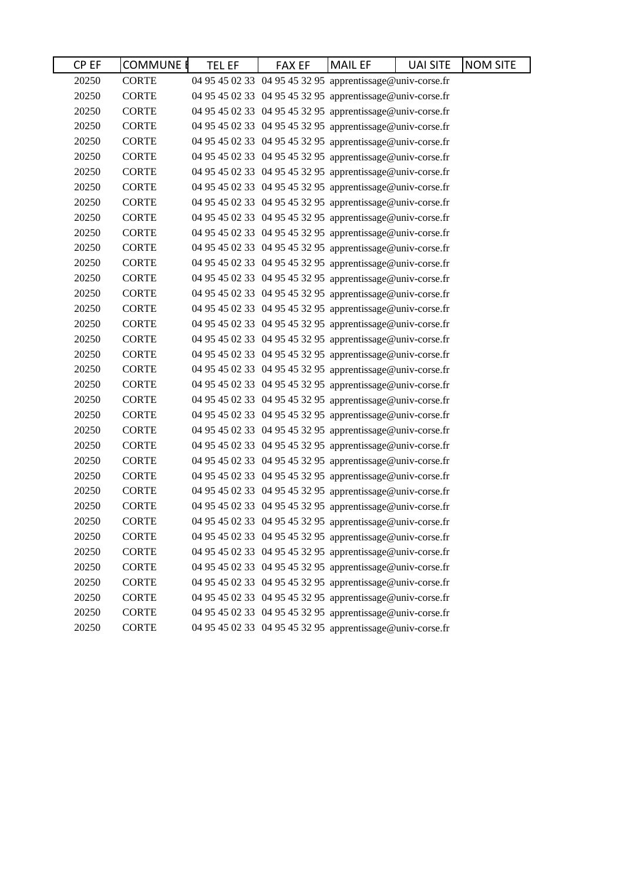| CP EF | <b>COMMUNE E</b> | <b>TEL EF</b> | <b>FAX EF</b>                                             | <b>MAIL EF</b> | <b>UAI SITE</b> | <b>NOM SITE</b> |
|-------|------------------|---------------|-----------------------------------------------------------|----------------|-----------------|-----------------|
| 20250 | <b>CORTE</b>     |               | 04 95 45 02 33 04 95 45 32 95 apprentissage@univ-corse.fr |                |                 |                 |
| 20250 | <b>CORTE</b>     |               | 04 95 45 02 33 04 95 45 32 95 apprentissage@univ-corse.fr |                |                 |                 |
| 20250 | <b>CORTE</b>     |               | 04 95 45 02 33 04 95 45 32 95 apprentissage@univ-corse.fr |                |                 |                 |
| 20250 | <b>CORTE</b>     |               | 04 95 45 02 33 04 95 45 32 95 apprentissage@univ-corse.fr |                |                 |                 |
| 20250 | <b>CORTE</b>     |               | 04 95 45 02 33 04 95 45 32 95 apprentissage@univ-corse.fr |                |                 |                 |
| 20250 | <b>CORTE</b>     |               | 04 95 45 02 33 04 95 45 32 95 apprentissage@univ-corse.fr |                |                 |                 |
| 20250 | <b>CORTE</b>     |               | 04 95 45 02 33 04 95 45 32 95 apprentissage@univ-corse.fr |                |                 |                 |
| 20250 | <b>CORTE</b>     |               | 04 95 45 02 33 04 95 45 32 95 apprentissage@univ-corse.fr |                |                 |                 |
| 20250 | <b>CORTE</b>     |               | 04 95 45 02 33 04 95 45 32 95 apprentissage@univ-corse.fr |                |                 |                 |
| 20250 | <b>CORTE</b>     |               | 04 95 45 02 33 04 95 45 32 95 apprentissage@univ-corse.fr |                |                 |                 |
| 20250 | <b>CORTE</b>     |               | 04 95 45 02 33 04 95 45 32 95 apprentissage@univ-corse.fr |                |                 |                 |
| 20250 | <b>CORTE</b>     |               | 04 95 45 02 33 04 95 45 32 95 apprentissage@univ-corse.fr |                |                 |                 |
| 20250 | <b>CORTE</b>     |               | 04 95 45 02 33 04 95 45 32 95 apprentissage@univ-corse.fr |                |                 |                 |
| 20250 | <b>CORTE</b>     |               | 04 95 45 02 33 04 95 45 32 95 apprentissage@univ-corse.fr |                |                 |                 |
| 20250 | <b>CORTE</b>     |               | 04 95 45 02 33 04 95 45 32 95 apprentissage@univ-corse.fr |                |                 |                 |
| 20250 | <b>CORTE</b>     |               | 04 95 45 02 33 04 95 45 32 95 apprentissage@univ-corse.fr |                |                 |                 |
| 20250 | <b>CORTE</b>     |               | 04 95 45 02 33 04 95 45 32 95 apprentissage@univ-corse.fr |                |                 |                 |
| 20250 | <b>CORTE</b>     |               | 04 95 45 02 33 04 95 45 32 95 apprentissage@univ-corse.fr |                |                 |                 |
| 20250 | <b>CORTE</b>     |               | 04 95 45 02 33 04 95 45 32 95 apprentissage@univ-corse.fr |                |                 |                 |
| 20250 | <b>CORTE</b>     |               | 04 95 45 02 33 04 95 45 32 95 apprentissage@univ-corse.fr |                |                 |                 |
| 20250 | <b>CORTE</b>     |               | 04 95 45 02 33 04 95 45 32 95 apprentissage@univ-corse.fr |                |                 |                 |
| 20250 | <b>CORTE</b>     |               | 04 95 45 02 33 04 95 45 32 95 apprentissage@univ-corse.fr |                |                 |                 |
| 20250 | <b>CORTE</b>     |               | 04 95 45 02 33 04 95 45 32 95 apprentissage@univ-corse.fr |                |                 |                 |
| 20250 | <b>CORTE</b>     |               | 04 95 45 02 33 04 95 45 32 95 apprentissage@univ-corse.fr |                |                 |                 |
| 20250 | <b>CORTE</b>     |               | 04 95 45 02 33 04 95 45 32 95 apprentissage@univ-corse.fr |                |                 |                 |
| 20250 | <b>CORTE</b>     |               | 04 95 45 02 33 04 95 45 32 95 apprentissage@univ-corse.fr |                |                 |                 |
| 20250 | <b>CORTE</b>     |               | 04 95 45 02 33 04 95 45 32 95 apprentissage@univ-corse.fr |                |                 |                 |
| 20250 | <b>CORTE</b>     |               | 04 95 45 02 33 04 95 45 32 95 apprentissage@univ-corse.fr |                |                 |                 |
| 20250 | <b>CORTE</b>     |               | 04 95 45 02 33 04 95 45 32 95 apprentissage@univ-corse.fr |                |                 |                 |
| 20250 | <b>CORTE</b>     |               | 04 95 45 02 33 04 95 45 32 95 apprentissage@univ-corse.fr |                |                 |                 |
| 20250 | <b>CORTE</b>     |               | 04 95 45 02 33 04 95 45 32 95 apprentissage@univ-corse.fr |                |                 |                 |
| 20250 | <b>CORTE</b>     |               | 04 95 45 02 33 04 95 45 32 95 apprentissage@univ-corse.fr |                |                 |                 |
| 20250 | <b>CORTE</b>     |               | 04 95 45 02 33 04 95 45 32 95 apprentissage@univ-corse.fr |                |                 |                 |
| 20250 | <b>CORTE</b>     |               | 04 95 45 02 33 04 95 45 32 95 apprentissage@univ-corse.fr |                |                 |                 |
| 20250 | <b>CORTE</b>     |               | 04 95 45 02 33 04 95 45 32 95 apprentissage@univ-corse.fr |                |                 |                 |
| 20250 | <b>CORTE</b>     |               | 04 95 45 02 33 04 95 45 32 95 apprentissage@univ-corse.fr |                |                 |                 |
| 20250 | <b>CORTE</b>     |               | 04 95 45 02 33 04 95 45 32 95 apprentissage@univ-corse.fr |                |                 |                 |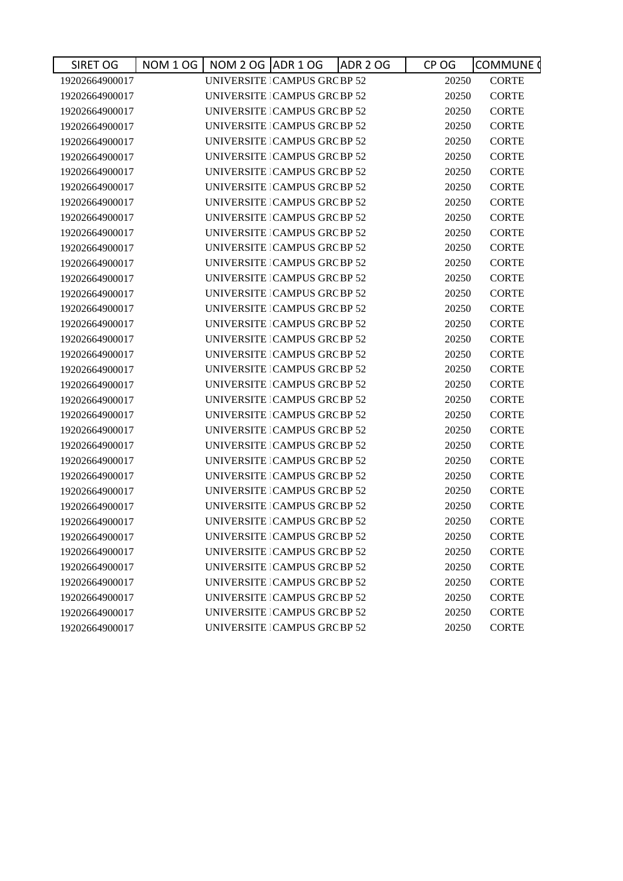| SIRET OG       | <b>NOM 1 OG</b><br>NOM 2 OG ADR 1 OG |                                      | <b>ADR 2 OG</b> | CP OG | <b>COMMUNE</b> |
|----------------|--------------------------------------|--------------------------------------|-----------------|-------|----------------|
| 19202664900017 |                                      | UNIVERSITE ICAMPUS GRC BP 52         |                 | 20250 | <b>CORTE</b>   |
| 19202664900017 |                                      | UNIVERSITE   CAMPUS GRC BP 52        |                 | 20250 | <b>CORTE</b>   |
| 19202664900017 |                                      | UNIVERSITE   CAMPUS GRC BP 52        |                 | 20250 | <b>CORTE</b>   |
| 19202664900017 |                                      | UNIVERSITE CAMPUS GRC BP 52          |                 | 20250 | <b>CORTE</b>   |
| 19202664900017 |                                      | UNIVERSITE   CAMPUS GRC BP 52        |                 | 20250 | <b>CORTE</b>   |
| 19202664900017 |                                      | UNIVERSITE CAMPUS GRC BP 52          |                 | 20250 | <b>CORTE</b>   |
| 19202664900017 |                                      | <b>UNIVERSITE   CAMPUS GRC BP 52</b> |                 | 20250 | <b>CORTE</b>   |
| 19202664900017 |                                      | UNIVERSITE   CAMPUS GRC BP 52        |                 | 20250 | <b>CORTE</b>   |
| 19202664900017 |                                      | <b>UNIVERSITE   CAMPUS GRC BP 52</b> |                 | 20250 | <b>CORTE</b>   |
| 19202664900017 |                                      | UNIVERSITE   CAMPUS GRC BP 52        |                 | 20250 | <b>CORTE</b>   |
| 19202664900017 |                                      | UNIVERSITE ICAMPUS GRC BP 52         |                 | 20250 | <b>CORTE</b>   |
| 19202664900017 |                                      | UNIVERSITE   CAMPUS GRC BP 52        |                 | 20250 | <b>CORTE</b>   |
| 19202664900017 |                                      | UNIVERSITE   CAMPUS GRC BP 52        |                 | 20250 | <b>CORTE</b>   |
| 19202664900017 |                                      | UNIVERSITE CAMPUS GRC BP 52          |                 | 20250 | <b>CORTE</b>   |
| 19202664900017 |                                      | UNIVERSITE   CAMPUS GRC BP 52        |                 | 20250 | <b>CORTE</b>   |
| 19202664900017 |                                      | UNIVERSITE CAMPUS GRC BP 52          |                 | 20250 | <b>CORTE</b>   |
| 19202664900017 |                                      | UNIVERSITE   CAMPUS GRC BP 52        |                 | 20250 | <b>CORTE</b>   |
| 19202664900017 |                                      | UNIVERSITE   CAMPUS GRC BP 52        |                 | 20250 | <b>CORTE</b>   |
| 19202664900017 |                                      | UNIVERSITE   CAMPUS GRC BP 52        |                 | 20250 | <b>CORTE</b>   |
| 19202664900017 |                                      | UNIVERSITE CAMPUS GRC BP 52          |                 | 20250 | <b>CORTE</b>   |
| 19202664900017 |                                      | UNIVERSITE   CAMPUS GRC BP 52        |                 | 20250 | <b>CORTE</b>   |
| 19202664900017 |                                      | UNIVERSITE   CAMPUS GRC BP 52        |                 | 20250 | <b>CORTE</b>   |
| 19202664900017 |                                      | UNIVERSITE CAMPUS GRC BP 52          |                 | 20250 | <b>CORTE</b>   |
| 19202664900017 |                                      | UNIVERSITE CAMPUS GRC BP 52          |                 | 20250 | <b>CORTE</b>   |
| 19202664900017 |                                      | UNIVERSITE ICAMPUS GRCBP 52          |                 | 20250 | <b>CORTE</b>   |
| 19202664900017 |                                      | UNIVERSITE ICAMPUS GRC BP 52         |                 | 20250 | <b>CORTE</b>   |
| 19202664900017 |                                      | UNIVERSITE ICAMPUS GRCBP 52          |                 | 20250 | <b>CORTE</b>   |
| 19202664900017 |                                      | UNIVERSITE CAMPUS GRC BP 52          |                 | 20250 | <b>CORTE</b>   |
| 19202664900017 |                                      | <b>UNIVERSITE   CAMPUS GRC BP 52</b> |                 | 20250 | <b>CORTE</b>   |
| 19202664900017 |                                      | <b>UNIVERSITE   CAMPUS GRC BP 52</b> |                 | 20250 | <b>CORTE</b>   |
| 19202664900017 |                                      | UNIVERSITE CAMPUS GRC BP 52          |                 | 20250 | <b>CORTE</b>   |
| 19202664900017 |                                      | UNIVERSITE   CAMPUS GRC BP 52        |                 | 20250 | <b>CORTE</b>   |
| 19202664900017 |                                      | UNIVERSITE   CAMPUS GRC BP 52        |                 | 20250 | <b>CORTE</b>   |
| 19202664900017 |                                      | UNIVERSITE   CAMPUS GRC BP 52        |                 | 20250 | <b>CORTE</b>   |
| 19202664900017 |                                      | UNIVERSITE   CAMPUS GRC BP 52        |                 | 20250 | <b>CORTE</b>   |
| 19202664900017 |                                      | UNIVERSITE   CAMPUS GRC BP 52        |                 | 20250 | <b>CORTE</b>   |
| 19202664900017 |                                      | UNIVERSITE ICAMPUS GRC BP 52         |                 | 20250 | <b>CORTE</b>   |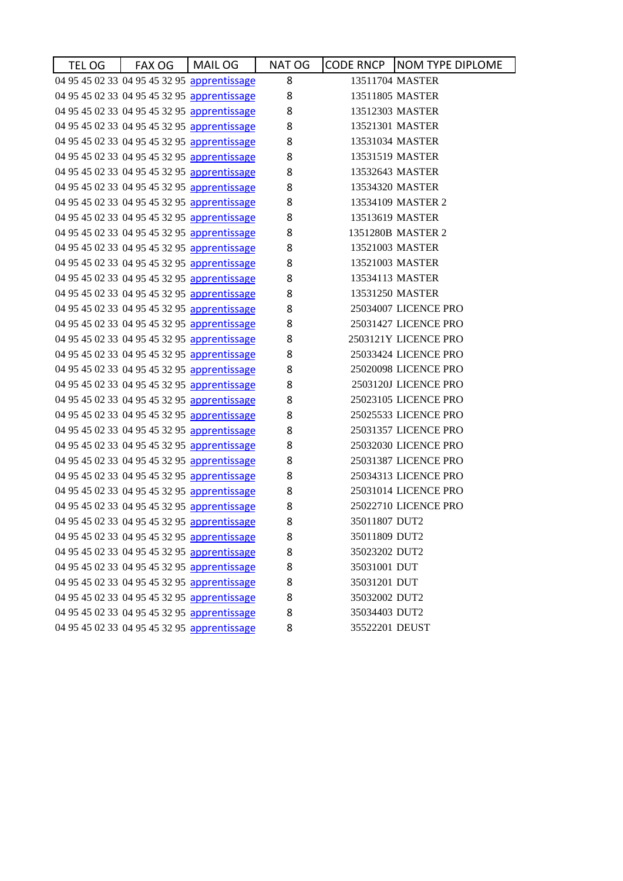| TEL OG | FAX OG | MAIL OG                                     | NAT OG | CODE RNCP   NOM TYPE DIPLOME |
|--------|--------|---------------------------------------------|--------|------------------------------|
|        |        | 04 95 45 02 33 04 95 45 32 95 apprentissage | 8      | 13511704 MASTER              |
|        |        | 04 95 45 02 33 04 95 45 32 95 apprentissage | 8      | 13511805 MASTER              |
|        |        | 04 95 45 02 33 04 95 45 32 95 apprentissage | 8      | 13512303 MASTER              |
|        |        | 04 95 45 02 33 04 95 45 32 95 apprentissage | 8      | 13521301 MASTER              |
|        |        | 04 95 45 02 33 04 95 45 32 95 apprentissage | 8      | 13531034 MASTER              |
|        |        | 04 95 45 02 33 04 95 45 32 95 apprentissage | 8      | 13531519 MASTER              |
|        |        | 04 95 45 02 33 04 95 45 32 95 apprentissage | 8      | 13532643 MASTER              |
|        |        | 04 95 45 02 33 04 95 45 32 95 apprentissage | 8      | 13534320 MASTER              |
|        |        | 04 95 45 02 33 04 95 45 32 95 apprentissage | 8      | 13534109 MASTER 2            |
|        |        | 04 95 45 02 33 04 95 45 32 95 apprentissage | 8      | 13513619 MASTER              |
|        |        | 04 95 45 02 33 04 95 45 32 95 apprentissage | 8      | 1351280B MASTER 2            |
|        |        | 04 95 45 02 33 04 95 45 32 95 apprentissage | 8      | 13521003 MASTER              |
|        |        | 04 95 45 02 33 04 95 45 32 95 apprentissage | 8      | 13521003 MASTER              |
|        |        | 04 95 45 02 33 04 95 45 32 95 apprentissage | 8      | 13534113 MASTER              |
|        |        | 04 95 45 02 33 04 95 45 32 95 apprentissage | 8      | 13531250 MASTER              |
|        |        | 04 95 45 02 33 04 95 45 32 95 apprentissage | 8      | 25034007 LICENCE PRO         |
|        |        | 04 95 45 02 33 04 95 45 32 95 apprentissage | 8      | 25031427 LICENCE PRO         |
|        |        | 04 95 45 02 33 04 95 45 32 95 apprentissage | 8      | 2503121Y LICENCE PRO         |
|        |        | 04 95 45 02 33 04 95 45 32 95 apprentissage | 8      | 25033424 LICENCE PRO         |
|        |        | 04 95 45 02 33 04 95 45 32 95 apprentissage | 8      | 25020098 LICENCE PRO         |
|        |        | 04 95 45 02 33 04 95 45 32 95 apprentissage | 8      | 2503120J LICENCE PRO         |
|        |        | 04 95 45 02 33 04 95 45 32 95 apprentissage | 8      | 25023105 LICENCE PRO         |
|        |        | 04 95 45 02 33 04 95 45 32 95 apprentissage | 8      | 25025533 LICENCE PRO         |
|        |        | 04 95 45 02 33 04 95 45 32 95 apprentissage | 8      | 25031357 LICENCE PRO         |
|        |        | 04 95 45 02 33 04 95 45 32 95 apprentissage | 8      | 25032030 LICENCE PRO         |
|        |        | 04 95 45 02 33 04 95 45 32 95 apprentissage | 8      | 25031387 LICENCE PRO         |
|        |        | 04 95 45 02 33 04 95 45 32 95 apprentissage | 8      | 25034313 LICENCE PRO         |
|        |        | 04 95 45 02 33 04 95 45 32 95 apprentissage | 8      | 25031014 LICENCE PRO         |
|        |        | 04 95 45 02 33 04 95 45 32 95 apprentissage | 8      | 25022710 LICENCE PRO         |
|        |        | 04 95 45 02 33 04 95 45 32 95 apprentissage | 8      | 35011807 DUT2                |
|        |        | 04 95 45 02 33 04 95 45 32 95 apprentissage | 8      | 35011809 DUT2                |
|        |        | 04 95 45 02 33 04 95 45 32 95 apprentissage | 8      | 35023202 DUT2                |
|        |        | 04 95 45 02 33 04 95 45 32 95 apprentissage | 8      | 35031001 DUT                 |
|        |        | 04 95 45 02 33 04 95 45 32 95 apprentissage | 8      | 35031201 DUT                 |
|        |        | 04 95 45 02 33 04 95 45 32 95 apprentissage | 8      | 35032002 DUT2                |
|        |        | 04 95 45 02 33 04 95 45 32 95 apprentissage | 8      | 35034403 DUT2                |
|        |        | 04 95 45 02 33 04 95 45 32 95 apprentissage | 8      | 35522201 DEUST               |